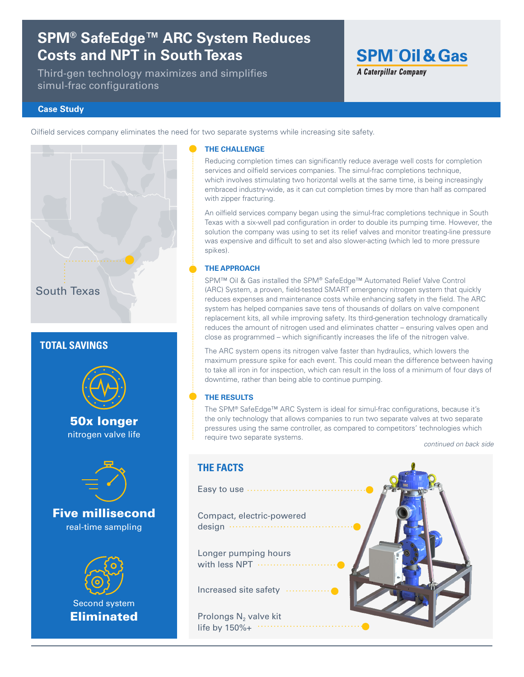# **SPM® SafeEdge™ ARC System Reduces Costs and NPT in South Texas**

Third-gen technology maximizes and simplifies simul-frac configurations

# **SPM<sup>®</sup>Oil & Gas A Caterpillar Company**

### **Case Study**

Oilfield services company eliminates the need for two separate systems while increasing site safety.

# South Texas

## **TOTAL SAVINGS**



50x longer nitrogen valve life



Five millisecond real-time sampling



### **THE CHALLENGE**

Reducing completion times can significantly reduce average well costs for completion services and oilfield services companies. The simul-frac completions technique, which involves stimulating two horizontal wells at the same time, is being increasingly embraced industry-wide, as it can cut completion times by more than half as compared with zipper fracturing.

An oilfield services company began using the simul-frac completions technique in South Texas with a six-well pad configuration in order to double its pumping time. However, the solution the company was using to set its relief valves and monitor treating-line pressure was expensive and difficult to set and also slower-acting (which led to more pressure spikes).

### **THE APPROACH**

SPM™ Oil & Gas installed the SPM® SafeEdge™ Automated Relief Valve Control (ARC) System, a proven, field-tested SMART emergency nitrogen system that quickly reduces expenses and maintenance costs while enhancing safety in the field. The ARC system has helped companies save tens of thousands of dollars on valve component replacement kits, all while improving safety. Its third-generation technology dramatically reduces the amount of nitrogen used and eliminates chatter – ensuring valves open and close as programmed – which significantly increases the life of the nitrogen valve.

The ARC system opens its nitrogen valve faster than hydraulics, which lowers the maximum pressure spike for each event. This could mean the difference between having to take all iron in for inspection, which can result in the loss of a minimum of four days of downtime, rather than being able to continue pumping.

### **THE RESULTS**

The SPM® SafeEdge™ ARC System is ideal for simul-frac configurations, because it's the only technology that allows companies to run two separate valves at two separate pressures using the same controller, as compared to competitors' technologies which require two separate systems.

*continued on back side*